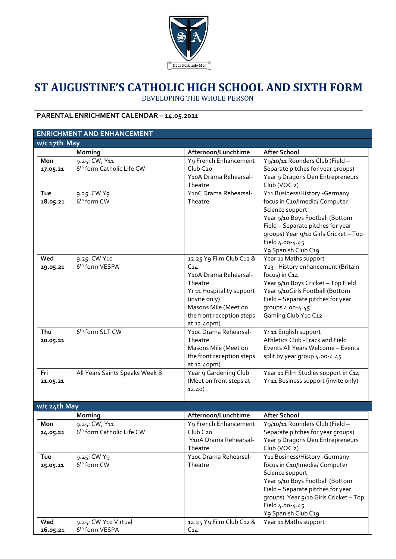

# **ST AUGUSTINE'S CATHOLIC HIGH SCHOOL AND SIXTH FORM** DEVELOPING THE WHOLE PERSON

# **PARENTAL ENRICHMENT CALENDAR – 14.05.2021**

| <b>ENRICHMENT AND ENHANCEMENT</b> |                                        |                                      |                                                                       |  |  |  |  |  |  |
|-----------------------------------|----------------------------------------|--------------------------------------|-----------------------------------------------------------------------|--|--|--|--|--|--|
| w/c 17th May                      |                                        |                                      |                                                                       |  |  |  |  |  |  |
|                                   | Morning                                | Afternoon/Lunchtime                  | <b>After School</b>                                                   |  |  |  |  |  |  |
| Mon                               | 9.25: CW, Y11                          | Y9 French Enhancement                | Y9/10/11 Rounders Club (Field -                                       |  |  |  |  |  |  |
| 17.05.21                          | 6 <sup>th</sup> form Catholic Life CW  | Club C <sub>20</sub>                 | Separate pitches for year groups)                                     |  |  |  |  |  |  |
|                                   |                                        | Y10A Drama Rehearsal-                | Year 9 Dragons Den Entrepreneurs                                      |  |  |  |  |  |  |
|                                   |                                        | Theatre                              | Club (VOC 2)                                                          |  |  |  |  |  |  |
| Tue                               | 9.25: CW Y9<br>6 <sup>th</sup> form CW | Y10C Drama Rehearsal-<br>Theatre     | Y11 Business/History - Germany<br>focus in C10/Imedia/ Computer       |  |  |  |  |  |  |
| 18.05.21                          |                                        |                                      | Science support                                                       |  |  |  |  |  |  |
|                                   |                                        |                                      | Year 9/10 Boys Football (Bottom                                       |  |  |  |  |  |  |
|                                   |                                        |                                      | Field - Separate pitches for year                                     |  |  |  |  |  |  |
|                                   |                                        |                                      | groups) Year 9/10 Girls Cricket - Top                                 |  |  |  |  |  |  |
|                                   |                                        |                                      | Field 4.00-4.45                                                       |  |  |  |  |  |  |
|                                   |                                        |                                      | Y9 Spanish Club C19                                                   |  |  |  |  |  |  |
| Wed                               | 9.25: CW Y10                           | 12.25 Y9 Film Club C12 &             | Year 11 Maths support                                                 |  |  |  |  |  |  |
| 19.05.21                          | 6 <sup>th</sup> form VESPA             | C <sub>14</sub>                      | Y13 - History enhancement (Britain                                    |  |  |  |  |  |  |
|                                   |                                        | Y10A Drama Rehearsal-                | focus) in C14                                                         |  |  |  |  |  |  |
|                                   |                                        | Theatre<br>Yr 11 Hospitality support | Year 9/10 Boys Cricket - Top Field<br>Year 9/10Girls Football (Bottom |  |  |  |  |  |  |
|                                   |                                        | (invite only)                        | Field - Separate pitches for year                                     |  |  |  |  |  |  |
|                                   |                                        | Masons Mile (Meet on                 | groups 4.00-4.45                                                      |  |  |  |  |  |  |
|                                   |                                        | the front reception steps            | Gaming Club Y10 C12                                                   |  |  |  |  |  |  |
|                                   |                                        | at 12.40pm)                          |                                                                       |  |  |  |  |  |  |
| Thu                               | 6 <sup>th</sup> form SLT CW            | Y10c Drama Rehearsal-                | Yr 11 English support                                                 |  |  |  |  |  |  |
| 20.05.21                          |                                        | Theatre                              | Athletics Club - Track and Field                                      |  |  |  |  |  |  |
|                                   |                                        | Masons Mile (Meet on                 | Events All Years Welcome - Events                                     |  |  |  |  |  |  |
|                                   |                                        | the front reception steps            | split by year group 4.00-4.45                                         |  |  |  |  |  |  |
| Fri                               | All Years Saints Speaks Week B         | at 12.40pm)<br>Year 9 Gardening Club | Year 11 Film Studies support in C14                                   |  |  |  |  |  |  |
| 21.05.21                          |                                        | (Meet on front steps at              | Yr 11 Business support (invite only)                                  |  |  |  |  |  |  |
|                                   |                                        | 12.40)                               |                                                                       |  |  |  |  |  |  |
|                                   |                                        |                                      |                                                                       |  |  |  |  |  |  |
| w/c 24th May                      |                                        |                                      |                                                                       |  |  |  |  |  |  |
|                                   | Morning                                | Afternoon/Lunchtime                  | <b>After School</b>                                                   |  |  |  |  |  |  |
| Mon                               | 9.25: CW, Y11                          | Y <sub>9</sub> French Enhancement    | Y9/10/11 Rounders Club (Field -                                       |  |  |  |  |  |  |
| 24.05.21                          | 6 <sup>th</sup> form Catholic Life CW  | Club C <sub>20</sub>                 | Separate pitches for year groups)                                     |  |  |  |  |  |  |
|                                   |                                        | Y10A Drama Rehearsal-<br>Theatre     | Year 9 Dragons Den Entrepreneurs<br>Club (VOC 2)                      |  |  |  |  |  |  |
| Tue                               | 9.25: CW Y9                            | Y10c Drama Rehearsal-                | Y11 Business/History - Germany                                        |  |  |  |  |  |  |
| 25.05.21                          | 6 <sup>th</sup> form CW                | Theatre                              | focus in C10/Imedia/ Computer                                         |  |  |  |  |  |  |
|                                   |                                        |                                      | Science support                                                       |  |  |  |  |  |  |
|                                   |                                        |                                      | Year 9/10 Boys Football (Bottom                                       |  |  |  |  |  |  |
|                                   |                                        |                                      | Field - Separate pitches for year                                     |  |  |  |  |  |  |
|                                   |                                        |                                      | groups) Year 9/10 Girls Cricket - Top                                 |  |  |  |  |  |  |
|                                   |                                        |                                      | Field 4.00-4.45                                                       |  |  |  |  |  |  |
|                                   |                                        |                                      | Y9 Spanish Club C19                                                   |  |  |  |  |  |  |
| Wed                               | 9.25: CW Y10 Virtual                   | 12.25 Y9 Film Club C12 &             | Year 11 Maths support                                                 |  |  |  |  |  |  |
| 26.05.21                          | 6 <sup>th</sup> form VESPA             | C <sub>14</sub>                      |                                                                       |  |  |  |  |  |  |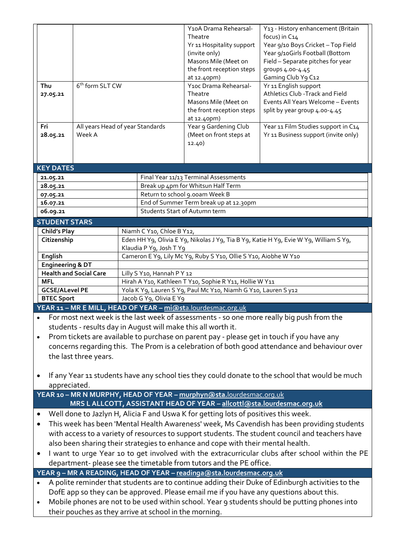| Thu                                                                                                     | 6 <sup>th</sup> form SLT CW<br>27.05.21                                                          |                                                                 |                                                                                         |                                        | Y10A Drama Rehearsal-<br>Theatre<br>Yr 11 Hospitality support<br>(invite only)<br>Masons Mile (Meet on<br>the front reception steps<br>at 12.40pm)<br>Y10c Drama Rehearsal-<br>Theatre<br>Masons Mile (Meet on<br>the front reception steps<br>at 12.40pm) | Y13 - History enhancement (Britain<br>focus) in C14<br>Year 9/10 Boys Cricket - Top Field<br>Year 9/10Girls Football (Bottom<br>Field - Separate pitches for year<br>groups 4.00-4.45<br>Gaming Club Y9 C12<br>Yr 11 English support<br>Athletics Club - Track and Field<br>Events All Years Welcome - Events<br>split by year group 4.00-4.45 |  |  |  |
|---------------------------------------------------------------------------------------------------------|--------------------------------------------------------------------------------------------------|-----------------------------------------------------------------|-----------------------------------------------------------------------------------------|----------------------------------------|------------------------------------------------------------------------------------------------------------------------------------------------------------------------------------------------------------------------------------------------------------|------------------------------------------------------------------------------------------------------------------------------------------------------------------------------------------------------------------------------------------------------------------------------------------------------------------------------------------------|--|--|--|
| Fri<br>28.05.21                                                                                         |                                                                                                  | All years Head of year Standards<br>Week A                      |                                                                                         |                                        | Year 9 Gardening Club<br>(Meet on front steps at<br>12.40)                                                                                                                                                                                                 | Year 11 Film Studies support in C14<br>Yr 11 Business support (invite only)                                                                                                                                                                                                                                                                    |  |  |  |
| <b>KEY DATES</b>                                                                                        |                                                                                                  |                                                                 |                                                                                         |                                        |                                                                                                                                                                                                                                                            |                                                                                                                                                                                                                                                                                                                                                |  |  |  |
| 21.05.21                                                                                                |                                                                                                  |                                                                 |                                                                                         | Final Year 11/13 Terminal Assessments  |                                                                                                                                                                                                                                                            |                                                                                                                                                                                                                                                                                                                                                |  |  |  |
| 28.05.21                                                                                                |                                                                                                  |                                                                 |                                                                                         | Break up 4pm for Whitsun Half Term     |                                                                                                                                                                                                                                                            |                                                                                                                                                                                                                                                                                                                                                |  |  |  |
| 07.05.21                                                                                                |                                                                                                  |                                                                 |                                                                                         | Return to school 9.00am Week B         |                                                                                                                                                                                                                                                            |                                                                                                                                                                                                                                                                                                                                                |  |  |  |
| 16.07.21                                                                                                |                                                                                                  |                                                                 |                                                                                         | End of Summer Term break up at 12.30pm |                                                                                                                                                                                                                                                            |                                                                                                                                                                                                                                                                                                                                                |  |  |  |
| 06.09.21                                                                                                |                                                                                                  |                                                                 | Students Start of Autumn term                                                           |                                        |                                                                                                                                                                                                                                                            |                                                                                                                                                                                                                                                                                                                                                |  |  |  |
| <b>STUDENT STARS</b>                                                                                    |                                                                                                  |                                                                 |                                                                                         |                                        |                                                                                                                                                                                                                                                            |                                                                                                                                                                                                                                                                                                                                                |  |  |  |
|                                                                                                         | <b>Child's Play</b>                                                                              |                                                                 | Niamh C Y10, Chloe B Y12,                                                               |                                        |                                                                                                                                                                                                                                                            |                                                                                                                                                                                                                                                                                                                                                |  |  |  |
|                                                                                                         | Citizenship                                                                                      |                                                                 | Eden HH Y9, Olivia E Y9, Nikolas J Y9, Tia B Y9, Katie H Y9, Evie W Y9, William S Y9,   |                                        |                                                                                                                                                                                                                                                            |                                                                                                                                                                                                                                                                                                                                                |  |  |  |
|                                                                                                         |                                                                                                  |                                                                 | Klaudia P Y9, Josh T Y9                                                                 |                                        |                                                                                                                                                                                                                                                            |                                                                                                                                                                                                                                                                                                                                                |  |  |  |
| English                                                                                                 |                                                                                                  | Cameron E Y9, Lily Mc Y9, Ruby S Y10, Ollie S Y10, Aiobhe W Y10 |                                                                                         |                                        |                                                                                                                                                                                                                                                            |                                                                                                                                                                                                                                                                                                                                                |  |  |  |
| Engineering & DT                                                                                        |                                                                                                  |                                                                 |                                                                                         |                                        |                                                                                                                                                                                                                                                            |                                                                                                                                                                                                                                                                                                                                                |  |  |  |
| <b>Health and Social Care</b>                                                                           |                                                                                                  | Lilly S Y10, Hannah P Y 12                                      |                                                                                         |                                        |                                                                                                                                                                                                                                                            |                                                                                                                                                                                                                                                                                                                                                |  |  |  |
| <b>MFL</b>                                                                                              |                                                                                                  | Hirah A Y10, Kathleen T Y10, Sophie R Y11, Hollie W Y11         |                                                                                         |                                        |                                                                                                                                                                                                                                                            |                                                                                                                                                                                                                                                                                                                                                |  |  |  |
| <b>GCSE/ALevel PE</b>                                                                                   |                                                                                                  | Yola K Y9, Lauren S Y9, Paul Mc Y10, Niamh G Y10, Lauren S y12  |                                                                                         |                                        |                                                                                                                                                                                                                                                            |                                                                                                                                                                                                                                                                                                                                                |  |  |  |
| <b>BTEC Sport</b>                                                                                       |                                                                                                  |                                                                 | Jacob G Y9, Olivia E Y9<br>YEAR 11 - MR E MILL, HEAD OF YEAR - mi@sta.lourdesmac.org.uk |                                        |                                                                                                                                                                                                                                                            |                                                                                                                                                                                                                                                                                                                                                |  |  |  |
|                                                                                                         |                                                                                                  |                                                                 |                                                                                         |                                        |                                                                                                                                                                                                                                                            |                                                                                                                                                                                                                                                                                                                                                |  |  |  |
| For most next week is the last week of assessments - so one more really big push from the               |                                                                                                  |                                                                 |                                                                                         |                                        |                                                                                                                                                                                                                                                            |                                                                                                                                                                                                                                                                                                                                                |  |  |  |
| students - results day in August will make this all worth it.                                           |                                                                                                  |                                                                 |                                                                                         |                                        |                                                                                                                                                                                                                                                            |                                                                                                                                                                                                                                                                                                                                                |  |  |  |
| Prom tickets are available to purchase on parent pay - please get in touch if you have any<br>$\bullet$ |                                                                                                  |                                                                 |                                                                                         |                                        |                                                                                                                                                                                                                                                            |                                                                                                                                                                                                                                                                                                                                                |  |  |  |
| concerns regarding this. The Prom is a celebration of both good attendance and behaviour over           |                                                                                                  |                                                                 |                                                                                         |                                        |                                                                                                                                                                                                                                                            |                                                                                                                                                                                                                                                                                                                                                |  |  |  |
|                                                                                                         | the last three years.                                                                            |                                                                 |                                                                                         |                                        |                                                                                                                                                                                                                                                            |                                                                                                                                                                                                                                                                                                                                                |  |  |  |
|                                                                                                         |                                                                                                  |                                                                 |                                                                                         |                                        |                                                                                                                                                                                                                                                            |                                                                                                                                                                                                                                                                                                                                                |  |  |  |
|                                                                                                         |                                                                                                  |                                                                 |                                                                                         |                                        |                                                                                                                                                                                                                                                            | If any Year 11 students have any school ties they could donate to the school that would be much                                                                                                                                                                                                                                                |  |  |  |
| appreciated.                                                                                            |                                                                                                  |                                                                 |                                                                                         |                                        |                                                                                                                                                                                                                                                            |                                                                                                                                                                                                                                                                                                                                                |  |  |  |
| YEAR 10 - MR N MURPHY, HEAD OF YEAR - murphyn@sta.lourdesmac.org.uk                                     |                                                                                                  |                                                                 |                                                                                         |                                        |                                                                                                                                                                                                                                                            |                                                                                                                                                                                                                                                                                                                                                |  |  |  |
| MRS L ALLCOTT, ASSISTANT HEAD OF YEAR - allcottl@sta.lourdesmac.org.uk                                  |                                                                                                  |                                                                 |                                                                                         |                                        |                                                                                                                                                                                                                                                            |                                                                                                                                                                                                                                                                                                                                                |  |  |  |
| Well done to Jazlyn H, Alicia F and Uswa K for getting lots of positives this week.                     |                                                                                                  |                                                                 |                                                                                         |                                        |                                                                                                                                                                                                                                                            |                                                                                                                                                                                                                                                                                                                                                |  |  |  |
| $\bullet$                                                                                               | This week has been 'Mental Health Awareness' week, Ms Cavendish has been providing students      |                                                                 |                                                                                         |                                        |                                                                                                                                                                                                                                                            |                                                                                                                                                                                                                                                                                                                                                |  |  |  |
|                                                                                                         | with access to a variety of resources to support students. The student council and teachers have |                                                                 |                                                                                         |                                        |                                                                                                                                                                                                                                                            |                                                                                                                                                                                                                                                                                                                                                |  |  |  |
|                                                                                                         | also been sharing their strategies to enhance and cope with their mental health.                 |                                                                 |                                                                                         |                                        |                                                                                                                                                                                                                                                            |                                                                                                                                                                                                                                                                                                                                                |  |  |  |
| I want to urge Year 10 to get involved with the extracurricular clubs after school within the PE        |                                                                                                  |                                                                 |                                                                                         |                                        |                                                                                                                                                                                                                                                            |                                                                                                                                                                                                                                                                                                                                                |  |  |  |
|                                                                                                         | department- please see the timetable from tutors and the PE office.                              |                                                                 |                                                                                         |                                        |                                                                                                                                                                                                                                                            |                                                                                                                                                                                                                                                                                                                                                |  |  |  |
| YEAR 9 - MR A READING, HEAD OF YEAR - readinga@sta.lourdesmac.org.uk                                    |                                                                                                  |                                                                 |                                                                                         |                                        |                                                                                                                                                                                                                                                            |                                                                                                                                                                                                                                                                                                                                                |  |  |  |
| A polite reminder that students are to continue adding their Duke of Edinburgh activities to the        |                                                                                                  |                                                                 |                                                                                         |                                        |                                                                                                                                                                                                                                                            |                                                                                                                                                                                                                                                                                                                                                |  |  |  |

- A polite reminder that students are to continue adding their Duke of Edinburgh activities to the DofE app so they can be approved. Please email me if you have any questions about this.
- Mobile phones are not to be used within school. Year 9 students should be putting phones into their pouches as they arrive at school in the morning.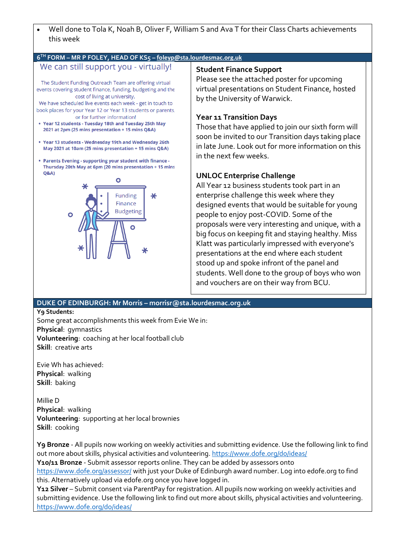

#### **6 TH FORM – MR P FOLEY, HEAD OF KS5 – f[oleyp@sta.lourdesmac.org.uk](mailto:foleyp@sta.lourdesmac.org.uk)**

## We can still support you - virtually!

The Student Funding Outreach Team are offering virtual events covering student finance, funding, budgeting and the cost of living at university.

We have scheduled live events each week - get in touch to book places for your Year 12 or Year 13 students or parents, or for further information!

- Year 12 students Tuesday 18th and Tuesday 25th May 2021 at 2pm (25 mins presentation + 15 mins Q&A)
- Year 13 students Wednesday 19th and Wednesday 26th May 2021 at 10am (25 mins presentation + 15 mins Q&A)
- Parents Evening supporting your student with finance -Thursday 20th May at 6pm (20 mins presentation + 15 mins  $O&A$



#### **Student Finance Support**

Please see the attached poster for upcoming virtual presentations on Student Finance, hosted by the University of Warwick.

#### **Year 11 Transition Days**

Those that have applied to join our sixth form will soon be invited to our Transition days taking place in late June. Look out for more information on this in the next few weeks.

### **UNLOC Enterprise Challenge**

All Year 12 business students took part in an enterprise challenge this week where they designed events that would be suitable for young people to enjoy post-COVID. Some of the proposals were very interesting and unique, with a big focus on keeping fit and staying healthy. Miss Klatt was particularly impressed with everyone's presentations at the end where each student stood up and spoke infront of the panel and students. Well done to the group of boys who won and vouchers are on their way from BCU.

## **DUKE OF EDINBURGH: Mr Morris – morrisr@sta.lourdesmac.org.uk**

**Y9 Students:**

Some great accomplishments this week from Evie We in: **Physical**: gymnastics **Volunteering**: coaching at her local football club **Skill**: creative arts

Evie Wh has achieved: **Physical**: walking **Skill**: baking

Millie D **Physical**: walking **Volunteering**: supporting at her local brownies **Skill**: cooking

**Y9 Bronze** - All pupils now working on weekly activities and submitting evidence. Use the following link to find out more about skills, physical activities and volunteering.<https://www.dofe.org/do/ideas/> Y10/11 Bronze - Submit assessor reports online. They can be added by assessors onto

<https://www.dofe.org/assessor/> with just your Duke of Edinburgh award number. Log into edofe.org to find this. Alternatively upload via edofe.org once you have logged in.

**Y12 Silver** – Submit consent via ParentPay for registration. All pupils now working on weekly activities and submitting evidence. Use the following link to find out more about skills, physical activities and volunteering. <https://www.dofe.org/do/ideas/>